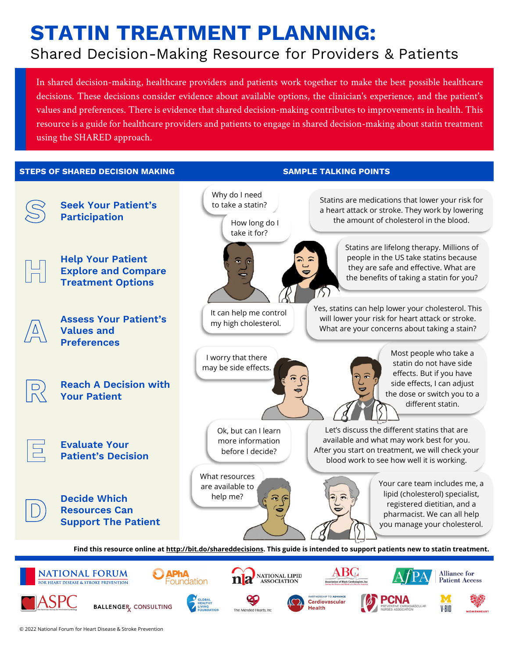# **STATIN TREATMENT PLANNING:**  Shared Decision-Making Resource for Providers & Patients

In shared decision-making, healthcare providers and patients work together to make the best possible healthcare decisions. These decisions consider evidence about available options, the clinician's experience, and the patient's values and preferences. There is evidence that shared decision-making contributes to improvements in health. This resource is a guide for healthcare providers and patients to engage in shared decision-making about statin treatment using the SHARED approach.

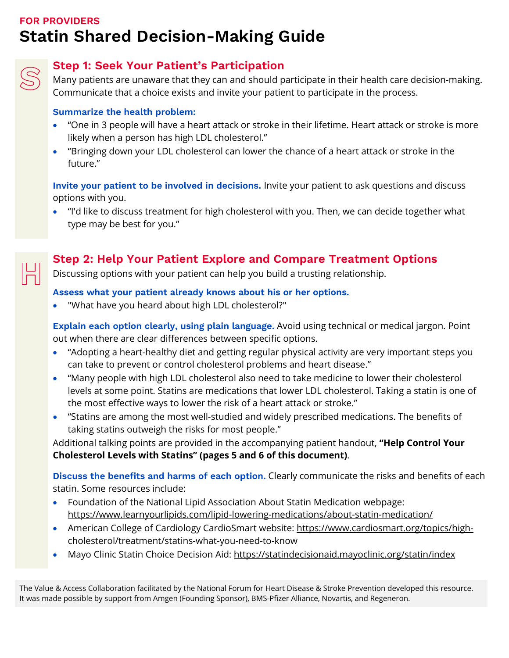## **FOR PROVIDERS Statin Shared Decision-Making Guide**



## **Step 1: Seek Your Patient's Participation**

Many patients are unaware that they can and should participate in their health care decision-making. Communicate that a choice exists and invite your patient to participate in the process.

#### **Summarize the health problem:**

- "One in 3 people will have a heart attack or stroke in their lifetime. Heart attack or stroke is more likely when a person has high LDL cholesterol."
- "Bringing down your LDL cholesterol can lower the chance of a heart attack or stroke in the future."

**Invite your patient to be involved in decisions.** Invite your patient to ask questions and discuss options with you.

• "I'd like to discuss treatment for high cholesterol with you. Then, we can decide together what type may be best for you."

## **Step 2: Help Your Patient Explore and Compare Treatment Options**

Discussing options with your patient can help you build a trusting relationship.

#### **Assess what your patient already knows about his or her options.**

• "What have you heard about high LDL cholesterol?"

**Explain each option clearly, using plain language.** Avoid using technical or medical jargon. Point out when there are clear differences between specific options.

- "Adopting a heart-healthy diet and getting regular physical activity are very important steps you can take to prevent or control cholesterol problems and heart disease."
- "Many people with high LDL cholesterol also need to take medicine to lower their cholesterol levels at some point. Statins are medications that lower LDL cholesterol. Taking a statin is one of the most effective ways to lower the risk of a heart attack or stroke."
- "Statins are among the most well-studied and widely prescribed medications. The benefits of taking statins outweigh the risks for most people."

Additional talking points are provided in the accompanying patient handout, **["Help Control Your](#page-4-0)  Cholesterol Levels with Statins" [\(pages 5 and 6 of this document\)](#page-4-0)**.

**Discuss the benefits and harms of each option.** Clearly communicate the risks and benefits of each statin. Some resources include:

- Foundation of the National Lipid Association About Statin Medication webpage: <https://www.learnyourlipids.com/lipid-lowering-medications/about-statin-medication/>
- American College of Cardiology CardioSmart website: [https://www.cardiosmart.org/topics/high](https://www.cardiosmart.org/topics/high-cholesterol/treatment/statins-what-you-need-to-know)[cholesterol/treatment/statins-what-you-need-to-know](https://www.cardiosmart.org/topics/high-cholesterol/treatment/statins-what-you-need-to-know)
- Mayo Clinic Statin Choice Decision Aid:<https://statindecisionaid.mayoclinic.org/statin/index>

The Value & Access Collaboration facilitated by the National Forum for Heart Disease & Stroke Prevention developed this resource. It was made possible by support from Amgen (Founding Sponsor), BMS-Pfizer Alliance, Novartis, and Regeneron.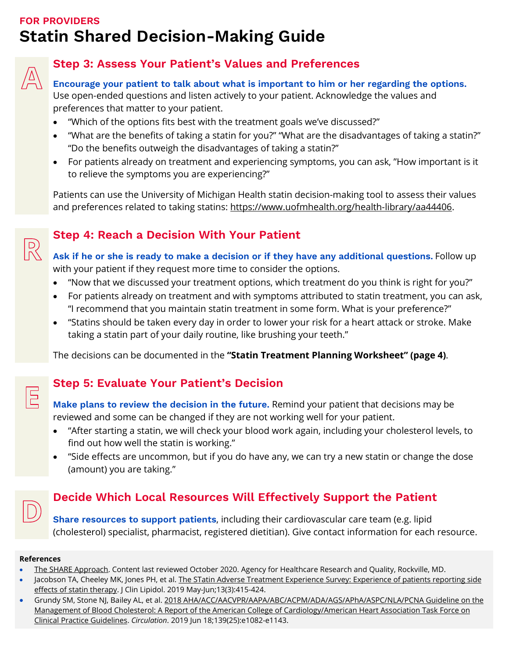## **FOR PROVIDERS Statin Shared Decision-Making Guide**



 $\mathbb{R}$ 

 $\mathbb{E}$ 

## **Step 3: Assess Your Patient's Values and Preferences**

**Encourage your patient to talk about what is important to him or her regarding the options.** Use open-ended questions and listen actively to your patient. Acknowledge the values and preferences that matter to your patient.

- "Which of the options fits best with the treatment goals we've discussed?"
- "What are the benefits of taking a statin for you?" "What are the disadvantages of taking a statin?" "Do the benefits outweigh the disadvantages of taking a statin?"
- For patients already on treatment and experiencing symptoms, you can ask, "How important is it to relieve the symptoms you are experiencing?"

Patients can use the University of Michigan Health statin decision-making tool to assess their values and preferences related to taking statins: [https://www.uofmhealth.org/health-library/aa44406.](https://www.uofmhealth.org/health-library/aa44406)

## **Step 4: Reach a Decision With Your Patient**

**Ask if he or she is ready to make a decision or if they have any additional questions.** Follow up with your patient if they request more time to consider the options.

- "Now that we discussed your treatment options, which treatment do you think is right for you?"
- For patients already on treatment and with symptoms attributed to statin treatment, you can ask, "I recommend that you maintain statin treatment in some form. What is your preference?"
- "Statins should be taken every day in order to lower your risk for a heart attack or stroke. Make taking a statin part of your daily routine, like brushing your teeth."

The decisions can be documented in the **["Statin Treatment Planning Worksheet"](#page-3-0) (page 4)**.

## **Step 5: Evaluate Your Patient's Decision**

**Make plans to review the decision in the future.** Remind your patient that decisions may be reviewed and some can be changed if they are not working well for your patient.

- "After starting a statin, we will check your blood work again, including your cholesterol levels, to find out how well the statin is working."
- "Side effects are uncommon, but if you do have any, we can try a new statin or change the dose (amount) you are taking."

## **Decide Which Local Resources Will Effectively Support the Patient**

**Share resources to support patients**, including their cardiovascular care team (e.g. lipid (cholesterol) specialist, pharmacist, registered dietitian). Give contact information for each resource.

#### **References**

- [The SHARE Approach.](https://www.ahrq.gov/health-literacy/professional-training/shared-decision/tool/resource-2.html) Content last reviewed October 2020. Agency for Healthcare Research and Quality, Rockville, MD.
- Jacobson TA, Cheeley MK, Jones PH, et al. The STatin Adverse Treatment Experience Survey: Experience of patients reporting side [effects of statin therapy.](https://pubmed.ncbi.nlm.nih.gov/31113745/) J Clin Lipidol. 2019 May-Jun;13(3):415-424.
- Grundy SM, Stone NJ, Bailey AL, et al[. 2018 AHA/ACC/AACVPR/AAPA/ABC/ACPM/ADA/AGS/APhA/ASPC/NLA/PCNA Guideline on the](https://www.ahajournals.org/doi/10.1161/CIR.0000000000000625)  [Management of Blood Cholesterol: A Report of the American College of Cardiology/American Heart Association Task Force on](https://www.ahajournals.org/doi/10.1161/CIR.0000000000000625)  [Clinical Practice Guidelines.](https://www.ahajournals.org/doi/10.1161/CIR.0000000000000625) *Circulation*. 2019 Jun 18;139(25):e1082-e1143.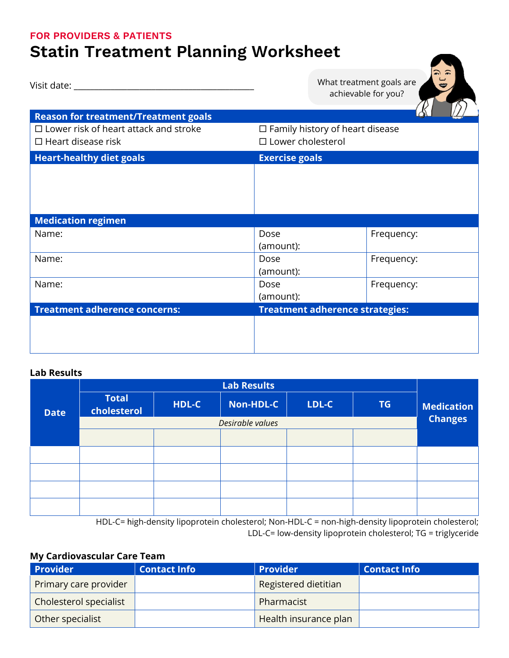#### <span id="page-3-0"></span>**FOR PROVIDERS & PATIENTS**

# **Statin Treatment Planning Worksheet**

| Visit date: and the state of the state of the state of the state of the state of the state of the state of the |                                                                    | What treatment goals are<br>achievable for you? |  |
|----------------------------------------------------------------------------------------------------------------|--------------------------------------------------------------------|-------------------------------------------------|--|
| <b>Reason for treatment/Treatment goals</b>                                                                    |                                                                    |                                                 |  |
| $\Box$ Lower risk of heart attack and stroke<br>$\Box$ Heart disease risk                                      | $\Box$ Family history of heart disease<br>$\Box$ Lower cholesterol |                                                 |  |
| <b>Heart-healthy diet goals</b>                                                                                | <b>Exercise goals</b>                                              |                                                 |  |
|                                                                                                                |                                                                    |                                                 |  |
| <b>Medication regimen</b>                                                                                      |                                                                    |                                                 |  |
| Name:                                                                                                          | Dose<br>(amount):                                                  | Frequency:                                      |  |
| Name:                                                                                                          | Dose                                                               | Frequency:                                      |  |
|                                                                                                                | (amount):                                                          |                                                 |  |
| Name:                                                                                                          | Dose                                                               | Frequency:                                      |  |
|                                                                                                                | (amount):                                                          |                                                 |  |
| <b>Treatment adherence concerns:</b>                                                                           | <b>Treatment adherence strategies:</b>                             |                                                 |  |
|                                                                                                                |                                                                    |                                                 |  |

#### **Lab Results**

|             | <b>Lab Results</b>          |       |           |       |    |                                     |
|-------------|-----------------------------|-------|-----------|-------|----|-------------------------------------|
| <b>Date</b> | <b>Total</b><br>cholesterol | HDL-C | Non-HDL-C | LDL-C | TG | <b>Medication</b><br><b>Changes</b> |
|             | Desirable values            |       |           |       |    |                                     |
|             |                             |       |           |       |    |                                     |
|             |                             |       |           |       |    |                                     |
|             |                             |       |           |       |    |                                     |
|             |                             |       |           |       |    |                                     |
|             |                             |       |           |       |    |                                     |

HDL-C= high-density lipoprotein cholesterol; Non-HDL-C = non-high-density lipoprotein cholesterol; LDL-C= low-density lipoprotein cholesterol; TG = triglyceride

### **My Cardiovascular Care Team**

| <b>Provider</b>        | <b>Contact Info</b> | <b>Provider</b>       | <b>Contact Info</b> |
|------------------------|---------------------|-----------------------|---------------------|
| Primary care provider  |                     | Registered dietitian  |                     |
| Cholesterol specialist |                     | Pharmacist            |                     |
| Other specialist       |                     | Health insurance plan |                     |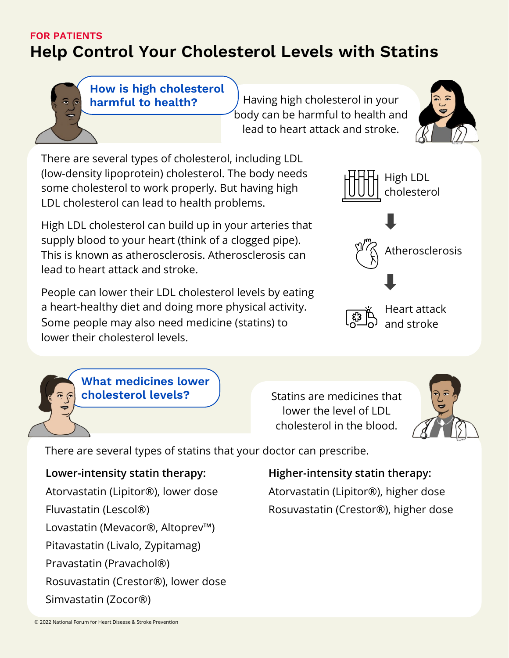### **FOR PATIENTS**

# <span id="page-4-0"></span>**Help Control Your Cholesterol Levels with Statins**

**How is high cholesterol harmful to health?**

Having high cholesterol in your body can be harmful to health and lead to heart attack and stroke.



There are several types of cholesterol, including LDL (low-density lipoprotein) cholesterol. The body needs some cholesterol to work properly. But having high LDL cholesterol can lead to health problems.

High LDL cholesterol can build up in your arteries that supply blood to your heart (think of a clogged pipe). This is known as atherosclerosis. Atherosclerosis can lead to heart attack and stroke.

People can lower their LDL cholesterol levels by eating a heart-healthy diet and doing more physical activity. Some people may also need medicine (statins) to lower their cholesterol levels.



**What medicines lower cholesterol levels?**

Statins are medicines that lower the level of LDL cholesterol in the blood.



There are several types of statins that your doctor can prescribe.

**Lower-intensity statin therapy:** Atorvastatin (Lipitor®), lower dose Fluvastatin (Lescol®) Lovastatin (Mevacor®, Altoprev™) Pitavastatin (Livalo, Zypitamag) Pravastatin (Pravachol®) Rosuvastatin (Crestor®), lower dose Simvastatin (Zocor®)

## **Higher-intensity statin therapy:**

Atorvastatin (Lipitor®), higher dose Rosuvastatin (Crestor®), higher dose